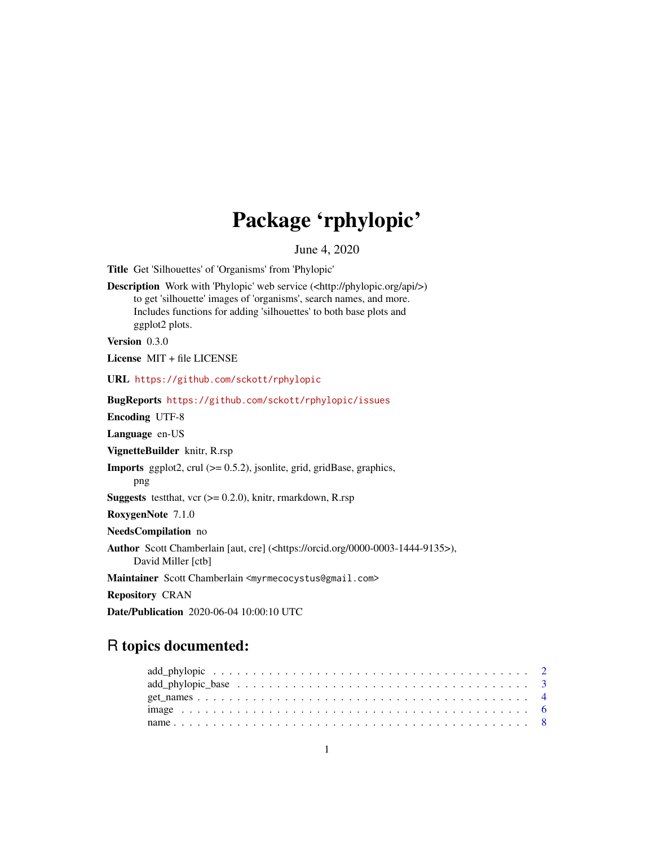# Package 'rphylopic'

June 4, 2020

<span id="page-0-0"></span>Title Get 'Silhouettes' of 'Organisms' from 'Phylopic'

Description Work with 'Phylopic' web service (<http://phylopic.org/api/>) to get 'silhouette' images of 'organisms', search names, and more. Includes functions for adding 'silhouettes' to both base plots and ggplot2 plots.

Version 0.3.0

License MIT + file LICENSE

URL <https://github.com/sckott/rphylopic>

BugReports <https://github.com/sckott/rphylopic/issues>

Encoding UTF-8

Language en-US

VignetteBuilder knitr, R.rsp

Imports ggplot2, crul (>= 0.5.2), jsonlite, grid, gridBase, graphics,

png

**Suggests** testthat, vcr  $(>= 0.2.0)$ , knitr, rmarkdown, R.rsp

RoxygenNote 7.1.0

NeedsCompilation no

Author Scott Chamberlain [aut, cre] (<https://orcid.org/0000-0003-1444-9135>),

David Miller [ctb]

Maintainer Scott Chamberlain <myrmecocystus@gmail.com>

Repository CRAN

Date/Publication 2020-06-04 10:00:10 UTC

# R topics documented: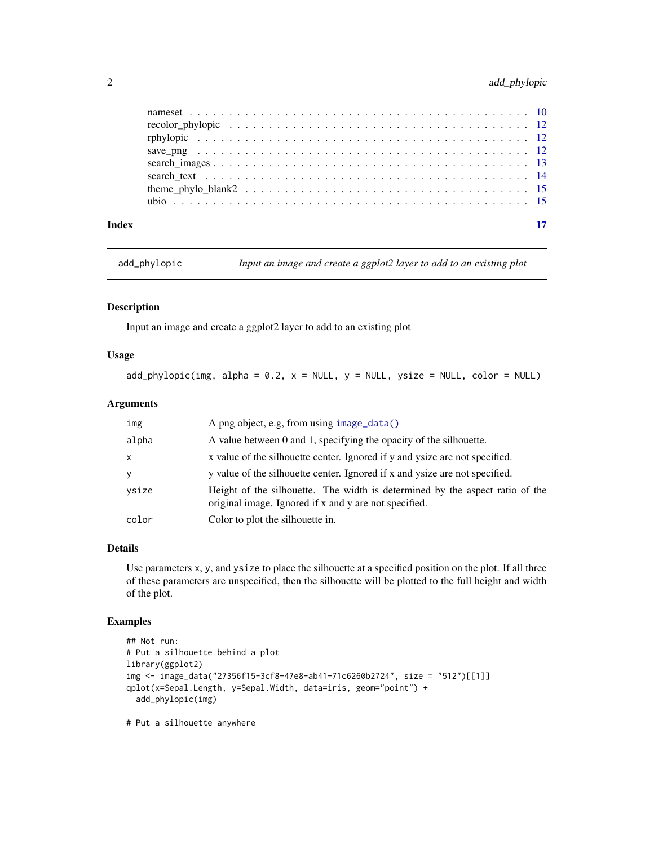# <span id="page-1-0"></span>2 add\_phylopic

add\_phylopic *Input an image and create a ggplot2 layer to add to an existing plot*

#### Description

Input an image and create a ggplot2 layer to add to an existing plot

#### Usage

 $add\_phylopic(img, alpha = 0.2, x = NULL, y = NULL, ysize = NULL, color = NULL)$ 

#### Arguments

| img   | A png object, e.g, from using image_data()                                                                                            |
|-------|---------------------------------------------------------------------------------------------------------------------------------------|
| alpha | A value between 0 and 1, specifying the opacity of the silhouette.                                                                    |
| x     | x value of the silhouette center. Ignored if y and ysize are not specified.                                                           |
| y     | y value of the silhouette center. Ignored if x and ysize are not specified.                                                           |
| ysize | Height of the silhouette. The width is determined by the aspect ratio of the<br>original image. Ignored if x and y are not specified. |
| color | Color to plot the silhouette in.                                                                                                      |

### Details

Use parameters x, y, and ysize to place the silhouette at a specified position on the plot. If all three of these parameters are unspecified, then the silhouette will be plotted to the full height and width of the plot.

### Examples

```
## Not run:
# Put a silhouette behind a plot
library(ggplot2)
img <- image_data("27356f15-3cf8-47e8-ab41-71c6260b2724", size = "512")[[1]]
qplot(x=Sepal.Length, y=Sepal.Width, data=iris, geom="point") +
  add_phylopic(img)
```
# Put a silhouette anywhere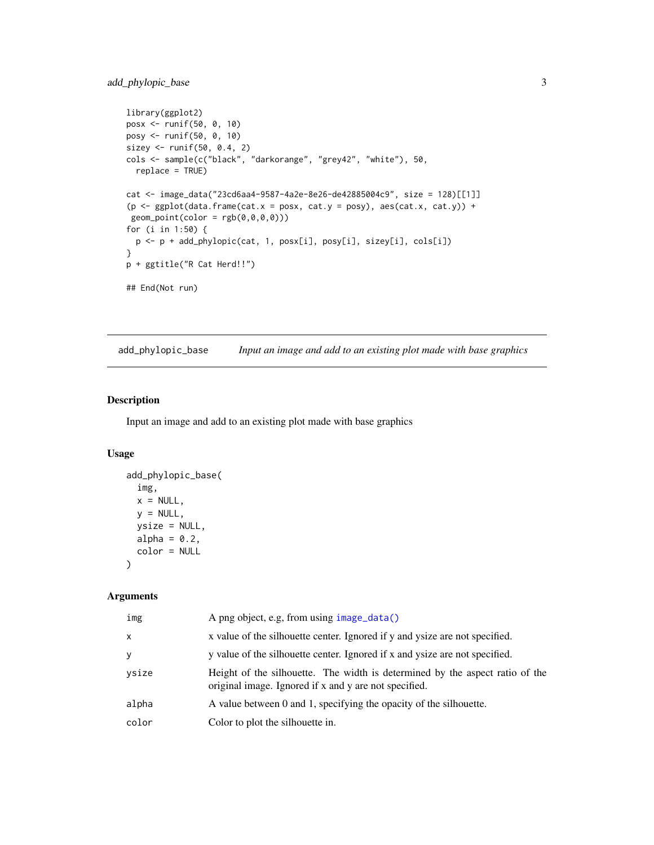#### <span id="page-2-0"></span>add\_phylopic\_base 3

```
library(ggplot2)
posx <- runif(50, 0, 10)
posy <- runif(50, 0, 10)
sizey <- runif(50, 0.4, 2)
cols <- sample(c("black", "darkorange", "grey42", "white"), 50,
  replace = TRUE)
cat <- image_data("23cd6aa4-9587-4a2e-8e26-de42885004c9", size = 128)[[1]]
(p \leq - \text{ggplot}(data-frame(cat.x = posx, cat.y = posy), aes(cat.x, cat.y)) +geom\_point(color = rgb(0,0,0,0)))for (i in 1:50) {
  p <- p + add_phylopic(cat, 1, posx[i], posy[i], sizey[i], cols[i])
}
p + ggtitle("R Cat Herd!!")
## End(Not run)
```
add\_phylopic\_base *Input an image and add to an existing plot made with base graphics*

#### Description

Input an image and add to an existing plot made with base graphics

#### Usage

```
add_phylopic_base(
  img,
 x = NULL,y = NULL,ysize = NULL,
 alpha = 0.2,
  color = NULL
)
```
#### Arguments

| img          | A png object, e.g, from using image_data()                                                                                            |
|--------------|---------------------------------------------------------------------------------------------------------------------------------------|
| $\mathsf{x}$ | x value of the silhouette center. Ignored if y and ysize are not specified.                                                           |
| У            | y value of the silhouette center. Ignored if x and ysize are not specified.                                                           |
| ysize        | Height of the silhouette. The width is determined by the aspect ratio of the<br>original image. Ignored if x and y are not specified. |
| alpha        | A value between 0 and 1, specifying the opacity of the silhouette.                                                                    |
| color        | Color to plot the silhouette in.                                                                                                      |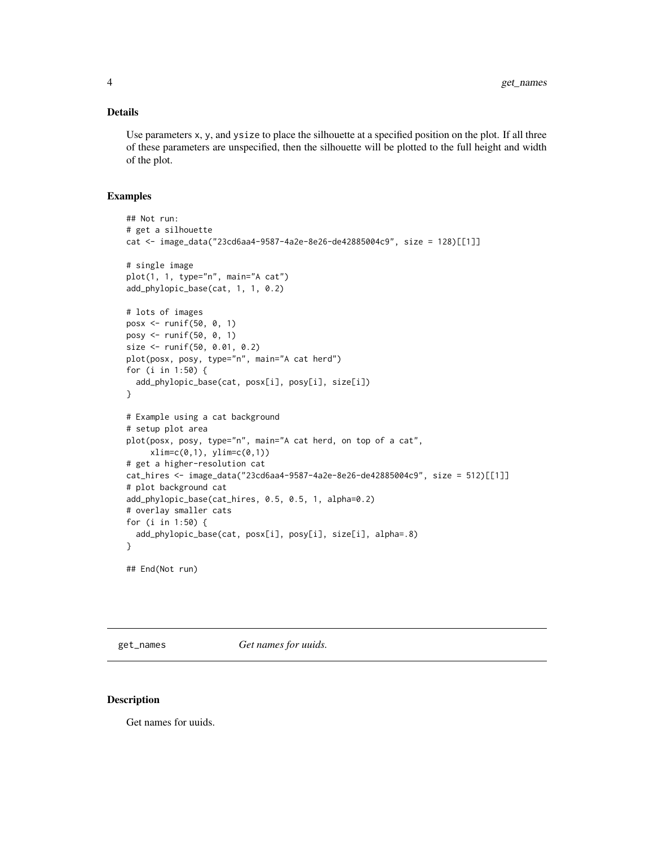#### <span id="page-3-0"></span>Details

Use parameters x, y, and ysize to place the silhouette at a specified position on the plot. If all three of these parameters are unspecified, then the silhouette will be plotted to the full height and width of the plot.

#### Examples

```
## Not run:
# get a silhouette
cat <- image_data("23cd6aa4-9587-4a2e-8e26-de42885004c9", size = 128)[[1]]
# single image
plot(1, 1, type="n", main="A cat")
add_phylopic_base(cat, 1, 1, 0.2)
# lots of images
posx <- runif(50, 0, 1)
posy <- runif(50, 0, 1)
size <- runif(50, 0.01, 0.2)
plot(posx, posy, type="n", main="A cat herd")
for (i in 1:50) {
  add_phylopic_base(cat, posx[i], posy[i], size[i])
}
# Example using a cat background
# setup plot area
plot(posx, posy, type="n", main="A cat herd, on top of a cat",
    xlim=c(0,1), ylim=c(0,1))# get a higher-resolution cat
cat_hires <- image_data("23cd6aa4-9587-4a2e-8e26-de42885004c9", size = 512)[[1]]
# plot background cat
add_phylopic_base(cat_hires, 0.5, 0.5, 1, alpha=0.2)
# overlay smaller cats
for (i in 1:50) {
  add_phylopic_base(cat, posx[i], posy[i], size[i], alpha=.8)
}
## End(Not run)
```
get\_names *Get names for uuids.*

#### Description

Get names for uuids.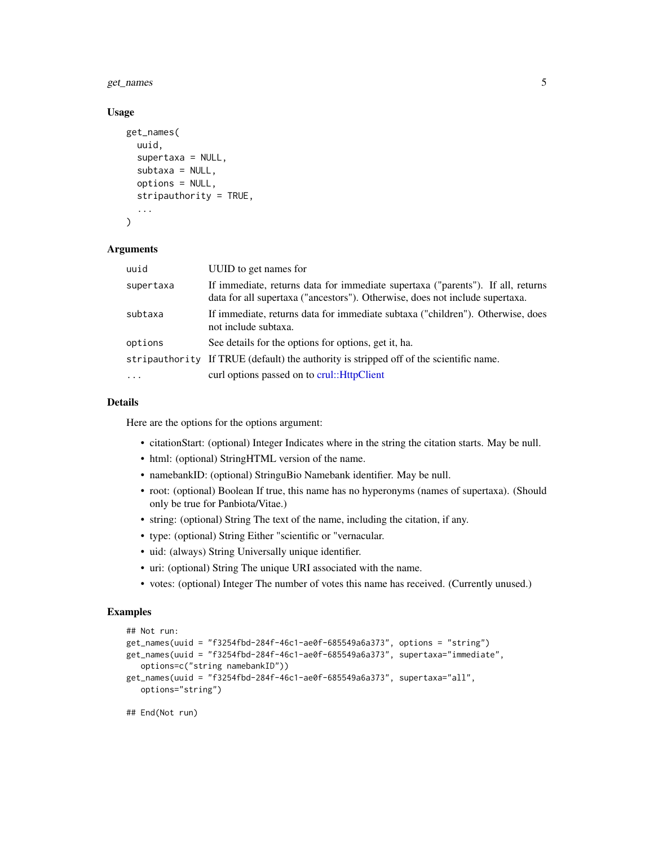#### <span id="page-4-0"></span>get\_names 5

#### Usage

```
get_names(
  uuid,
  supertaxa = NULL,
  subtaxa = NULL,options = NULL,
  stripauthority = TRUE,
  ...
)
```
#### Arguments

| uuid      | UUID to get names for                                                                                                                                           |
|-----------|-----------------------------------------------------------------------------------------------------------------------------------------------------------------|
| supertaxa | If immediate, returns data for immediate supertaxa ("parents"). If all, returns<br>data for all supertaxa ("ancestors"). Otherwise, does not include supertaxa. |
| subtaxa   | If immediate, returns data for immediate subtaxa ("children"). Otherwise, does<br>not include subtaxa.                                                          |
| options   | See details for the options for options, get it, ha.                                                                                                            |
|           | stripauthority If TRUE (default) the authority is stripped off of the scientific name.                                                                          |
| $\ddotsc$ | curl options passed on to crul::HttpClient                                                                                                                      |

#### Details

Here are the options for the options argument:

- citationStart: (optional) Integer Indicates where in the string the citation starts. May be null.
- html: (optional) StringHTML version of the name.
- namebankID: (optional) StringuBio Namebank identifier. May be null.
- root: (optional) Boolean If true, this name has no hyperonyms (names of supertaxa). (Should only be true for Panbiota/Vitae.)
- string: (optional) String The text of the name, including the citation, if any.
- type: (optional) String Either "scientific or "vernacular.
- uid: (always) String Universally unique identifier.
- uri: (optional) String The unique URI associated with the name.
- votes: (optional) Integer The number of votes this name has received. (Currently unused.)

#### Examples

```
## Not run:
get_names(uuid = "f3254fbd-284f-46c1-ae0f-685549a6a373", options = "string")
get_names(uuid = "f3254fbd-284f-46c1-ae0f-685549a6a373", supertaxa="immediate",
   options=c("string namebankID"))
get_names(uuid = "f3254fbd-284f-46c1-ae0f-685549a6a373", supertaxa="all",
   options="string")
```

```
## End(Not run)
```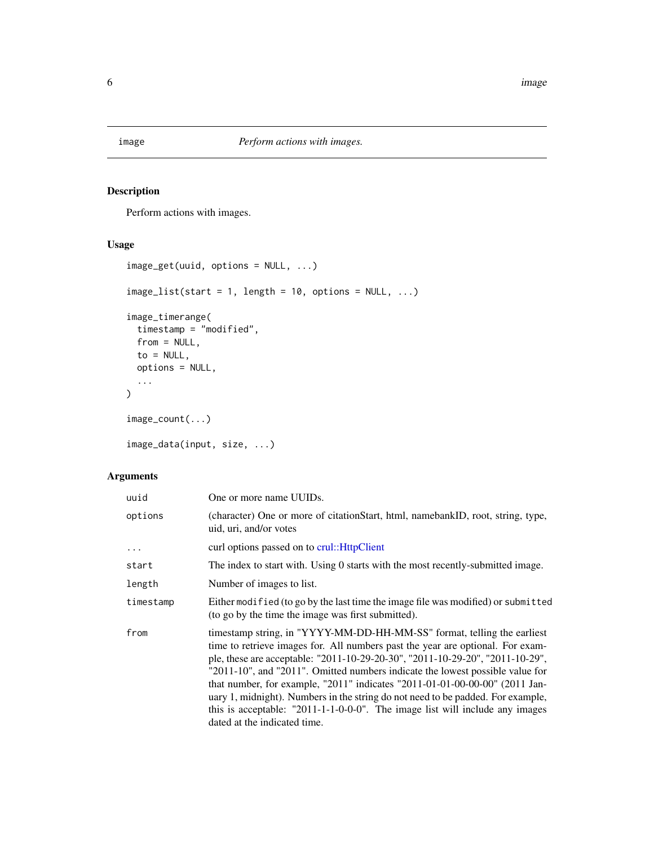<span id="page-5-0"></span>

# <span id="page-5-1"></span>Description

Perform actions with images.

### Usage

```
image_get(uuid, options = NULL, ...)
image\_list(start = 1, length = 10, options = NULL, ...)image_timerange(
 timestamp = "modified",
 from = NULL,
 to = NULL,options = NULL,
  ...
)
image_count(...)
image_data(input, size, ...)
```
# Arguments

| uuid      | One or more name UUIDs.                                                                                                                                                                                                                                                                                                                                                                                                                                                                                                                                                                                          |
|-----------|------------------------------------------------------------------------------------------------------------------------------------------------------------------------------------------------------------------------------------------------------------------------------------------------------------------------------------------------------------------------------------------------------------------------------------------------------------------------------------------------------------------------------------------------------------------------------------------------------------------|
| options   | (character) One or more of citation Start, html, namebankID, root, string, type,<br>uid, uri, and/or votes                                                                                                                                                                                                                                                                                                                                                                                                                                                                                                       |
|           | curl options passed on to crul:: HttpClient                                                                                                                                                                                                                                                                                                                                                                                                                                                                                                                                                                      |
| start     | The index to start with. Using 0 starts with the most recently-submitted image.                                                                                                                                                                                                                                                                                                                                                                                                                                                                                                                                  |
| length    | Number of images to list.                                                                                                                                                                                                                                                                                                                                                                                                                                                                                                                                                                                        |
| timestamp | Either modified (to go by the last time the image file was modified) or submitted<br>(to go by the time the image was first submitted).                                                                                                                                                                                                                                                                                                                                                                                                                                                                          |
| from      | timestamp string, in "YYYY-MM-DD-HH-MM-SS" format, telling the earliest<br>time to retrieve images for. All numbers past the year are optional. For exam-<br>ple, these are acceptable: "2011-10-29-20-30", "2011-10-29-20", "2011-10-29",<br>"2011-10", and "2011". Omitted numbers indicate the lowest possible value for<br>that number, for example, "2011" indicates "2011-01-01-00-00-00" (2011 Jan-<br>uary 1, midnight). Numbers in the string do not need to be padded. For example,<br>this is acceptable: $"2011-1-1-0-0-0"$ . The image list will include any images<br>dated at the indicated time. |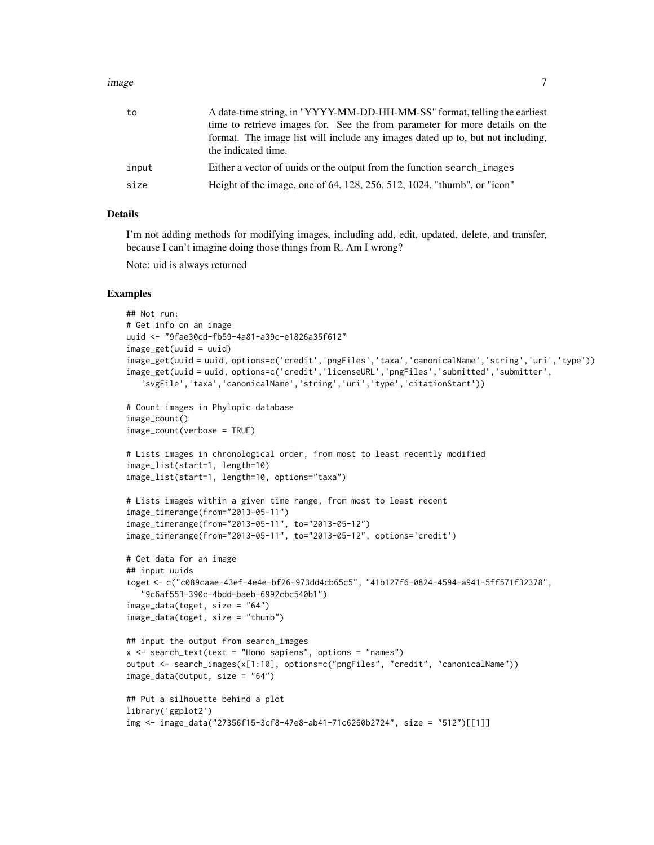#### image 7 and 2008 and 2008 and 2008 and 2008 and 2008 and 2008 and 2008 and 2008 and 2008 and 2008 and 2008 and 2008 and 2008 and 2008 and 2008 and 2008 and 2008 and 2008 and 2008 and 2008 and 2008 and 2008 and 2008 and 200

| to    | A date-time string, in "YYYY-MM-DD-HH-MM-SS" format, telling the earliest                             |
|-------|-------------------------------------------------------------------------------------------------------|
|       | time to retrieve images for. See the from parameter for more details on the                           |
|       | format. The image list will include any images dated up to, but not including,<br>the indicated time. |
| input | Either a vector of uuids or the output from the function search_images                                |
| size  | Height of the image, one of 64, 128, 256, 512, 1024, "thumb", or "icon"                               |
|       |                                                                                                       |

#### Details

I'm not adding methods for modifying images, including add, edit, updated, delete, and transfer, because I can't imagine doing those things from R. Am I wrong?

Note: uid is always returned

#### Examples

```
## Not run:
# Get info on an image
uuid <- "9fae30cd-fb59-4a81-a39c-e1826a35f612"
image_get(uuid = uuid)
image_get(uuid = uuid, options=c('credit','pngFiles','taxa','canonicalName','string','uri','type'))
image_get(uuid = uuid, options=c('credit','licenseURL','pngFiles','submitted','submitter',
   'svgFile','taxa','canonicalName','string','uri','type','citationStart'))
# Count images in Phylopic database
image_count()
image_count(verbose = TRUE)
# Lists images in chronological order, from most to least recently modified
image_list(start=1, length=10)
image_list(start=1, length=10, options="taxa")
# Lists images within a given time range, from most to least recent
image_timerange(from="2013-05-11")
image_timerange(from="2013-05-11", to="2013-05-12")
image_timerange(from="2013-05-11", to="2013-05-12", options='credit')
# Get data for an image
## input uuids
toget <- c("c089caae-43ef-4e4e-bf26-973dd4cb65c5", "41b127f6-0824-4594-a941-5ff571f32378",
   "9c6af553-390c-4bdd-baeb-6992cbc540b1")
image_data(toget, size = "64")
image_data(toget, size = "thumb")
## input the output from search_images
x \le search_text(text = "Homo sapiens", options = "names")
output <- search_images(x[1:10], options=c("pngFiles", "credit", "canonicalName"))
image_data(output, size = "64")
## Put a silhouette behind a plot
library('ggplot2')
img <- image_data("27356f15-3cf8-47e8-ab41-71c6260b2724", size = "512")[[1]]
```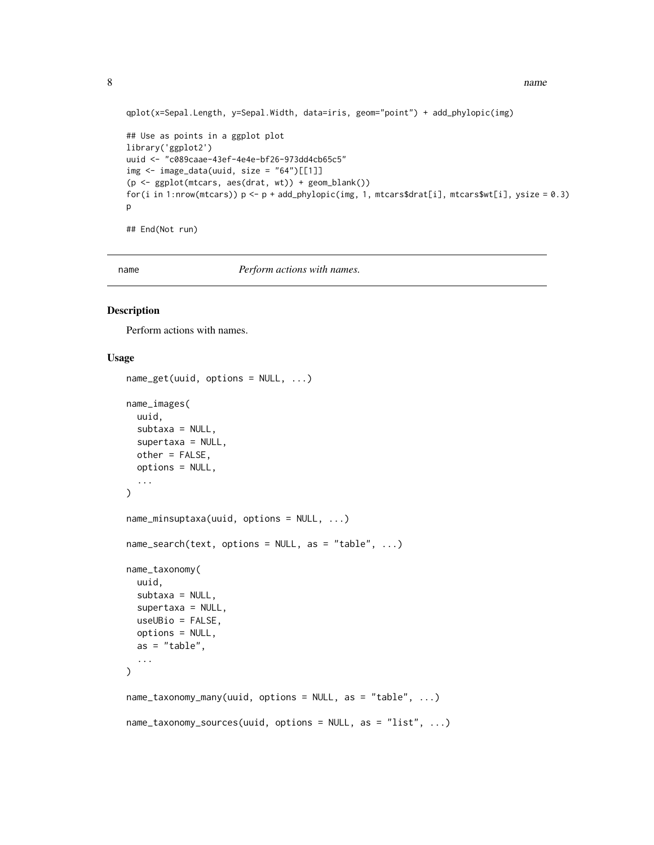```
8 name is a strong structure of the structure of the structure of the structure of the structure of the structure of the structure of the structure of the structure of the structure of the structure of the structure of the
```

```
qplot(x=Sepal.Length, y=Sepal.Width, data=iris, geom="point") + add_phylopic(img)
## Use as points in a ggplot plot
library('ggplot2')
uuid <- "c089caae-43ef-4e4e-bf26-973dd4cb65c5"
img \le image_data(uuid, size = "64")[[1]]
(p <- ggplot(mtcars, aes(drat, wt)) + geom_blank())
for(i in 1:nrow(mtcars)) p \leq -p + \frac{1}{2} and phylopic(img, 1, mtcars$drat[i], mtcars$wt[i], ysize = 0.3)
p
## End(Not run)
```
name *Perform actions with names.*

#### Description

Perform actions with names.

### Usage

```
name_get(uuid, options = NULL, ...)
name_images(
  uuid,
  subtaxa = NULL,
  supertaxa = NULL,
 other = FALSE,
  options = NULL,
  ...
\lambdaname_minsuptaxa(uuid, options = NULL, ...)
name\_search(text, options = NULL, as = "table", ...)name_taxonomy(
 uuid,
  subtaxa = NULL,
  supertaxa = NULL,
  useUBio = FALSE,
  options = NULL,
  as = "table",...
\lambdaname_taxonomy_many(uuid, options = NULL, as = "table", ...)
name_taxonomy_sources(uuid, options = NULL, as = "list", ...)
```
<span id="page-7-0"></span>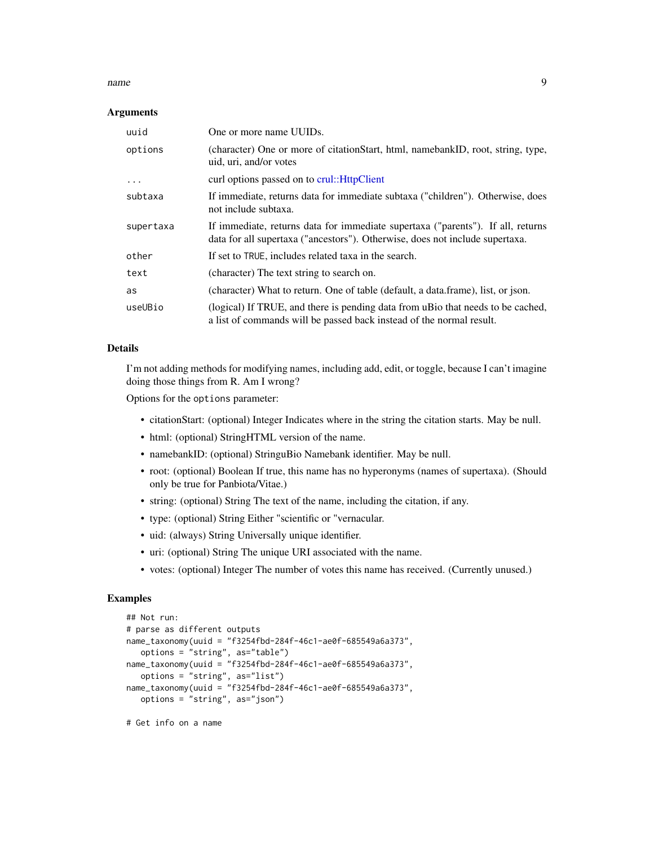#### <span id="page-8-0"></span>name 9

#### Arguments

| uuid      | One or more name UUIDs.                                                                                                                                         |
|-----------|-----------------------------------------------------------------------------------------------------------------------------------------------------------------|
| options   | (character) One or more of citation Start, html, namebankID, root, string, type,<br>uid, uri, and/or votes                                                      |
| .         | curl options passed on to crul:: HttpClient                                                                                                                     |
| subtaxa   | If immediate, returns data for immediate subtaxa ("children"). Otherwise, does<br>not include subtaxa.                                                          |
| supertaxa | If immediate, returns data for immediate supertaxa ("parents"). If all, returns<br>data for all supertaxa ("ancestors"). Otherwise, does not include supertaxa. |
| other     | If set to TRUE, includes related taxa in the search.                                                                                                            |
| text      | (character) The text string to search on.                                                                                                                       |
| as        | (character) What to return. One of table (default, a data.frame), list, or json.                                                                                |
| useUBio   | (logical) If TRUE, and there is pending data from uBio that needs to be cached,<br>a list of commands will be passed back instead of the normal result.         |

#### Details

I'm not adding methods for modifying names, including add, edit, or toggle, because I can't imagine doing those things from R. Am I wrong?

Options for the options parameter:

- citationStart: (optional) Integer Indicates where in the string the citation starts. May be null.
- html: (optional) StringHTML version of the name.
- namebankID: (optional) StringuBio Namebank identifier. May be null.
- root: (optional) Boolean If true, this name has no hyperonyms (names of supertaxa). (Should only be true for Panbiota/Vitae.)
- string: (optional) String The text of the name, including the citation, if any.
- type: (optional) String Either "scientific or "vernacular.
- uid: (always) String Universally unique identifier.
- uri: (optional) String The unique URI associated with the name.
- votes: (optional) Integer The number of votes this name has received. (Currently unused.)

#### Examples

```
## Not run:
# parse as different outputs
name_taxonomy(uuid = "f3254fbd-284f-46c1-ae0f-685549a6a373",
  options = "string", as="table")
name_taxonomy(uuid = "f3254fbd-284f-46c1-ae0f-685549a6a373",
   options = "string", as="list")
name_taxonomy(uuid = "f3254fbd-284f-46c1-ae0f-685549a6a373",
   options = "string", as="json")
```
# Get info on a name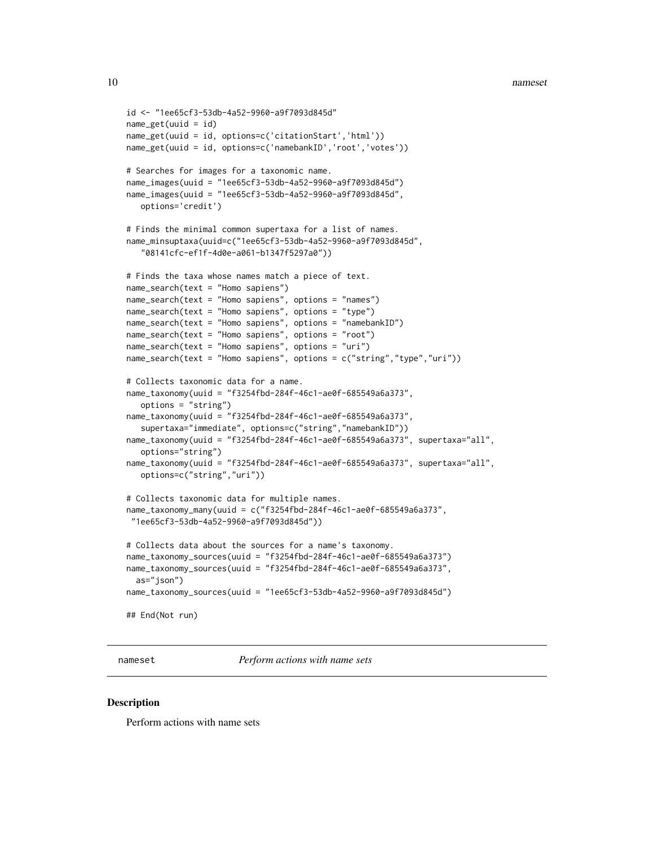```
id <- "1ee65cf3-53db-4a52-9960-a9f7093d845d"
name_get(uuid = id)
name_get(uuid = id, options=c('citationStart','html'))
name_get(uuid = id, options=c('namebankID','root','votes'))
# Searches for images for a taxonomic name.
name_images(uuid = "1ee65cf3-53db-4a52-9960-a9f7093d845d")
name_images(uuid = "1ee65cf3-53db-4a52-9960-a9f7093d845d",
   options='credit')
# Finds the minimal common supertaxa for a list of names.
name_minsuptaxa(uuid=c("1ee65cf3-53db-4a52-9960-a9f7093d845d",
   "08141cfc-ef1f-4d0e-a061-b1347f5297a0"))
# Finds the taxa whose names match a piece of text.
name_search(text = "Homo sapiens")
name_search(text = "Homo sapiens", options = "names")
name_search(text = "Homo sapiens", options = "type")
name_search(text = "Homo sapiens", options = "namebankID")
name_search(text = "Homo sapiens", options = "root")
name_search(text = "Homo sapiens", options = "uri")
name_search(text = "Homo sapiens", options = c("string","type","uri"))
# Collects taxonomic data for a name.
name_taxonomy(uuid = "f3254fbd-284f-46c1-ae0f-685549a6a373",
   options = "string")
name_taxonomy(uuid = "f3254fbd-284f-46c1-ae0f-685549a6a373",
   supertaxa="immediate", options=c("string","namebankID"))
name_taxonomy(uuid = "f3254fbd-284f-46c1-ae0f-685549a6a373", supertaxa="all",
  options="string")
name_taxonomy(uuid = "f3254fbd-284f-46c1-ae0f-685549a6a373", supertaxa="all",
  options=c("string","uri"))
# Collects taxonomic data for multiple names.
name_taxonomy_many(uuid = c("f3254fbd-284f-46c1-ae0f-685549a6a373",
 "1ee65cf3-53db-4a52-9960-a9f7093d845d"))
# Collects data about the sources for a name's taxonomy.
name_taxonomy_sources(uuid = "f3254fbd-284f-46c1-ae0f-685549a6a373")
name_taxonomy_sources(uuid = "f3254fbd-284f-46c1-ae0f-685549a6a373",
  as="json")
name_taxonomy_sources(uuid = "1ee65cf3-53db-4a52-9960-a9f7093d845d")
## End(Not run)
```
nameset *Perform actions with name sets*

#### **Description**

Perform actions with name sets

<span id="page-9-0"></span>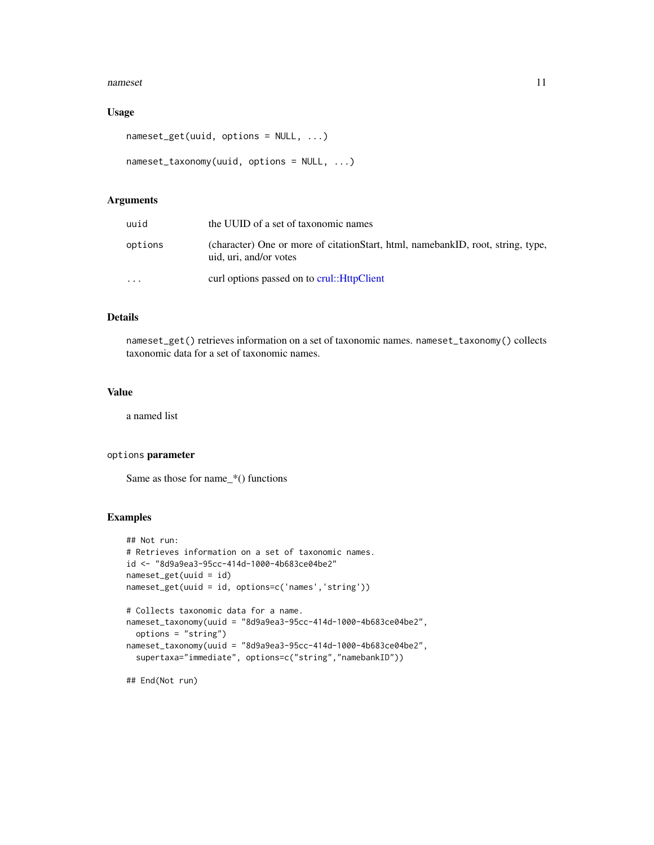#### <span id="page-10-0"></span>nameset and the contract of the contract of the contract of the contract of the contract of the contract of the contract of the contract of the contract of the contract of the contract of the contract of the contract of th

#### Usage

```
nameset_get(uuid, options = NULL, ...)
```

```
nameset_taxonomy(uuid, options = NULL, ...)
```
#### Arguments

| uuid      | the UUID of a set of taxonomic names                                                                       |
|-----------|------------------------------------------------------------------------------------------------------------|
| options   | (character) One or more of citation Start, html, namebankID, root, string, type,<br>uid, uri, and/or votes |
| $\ddotsc$ | curl options passed on to crul:: HttpClient                                                                |

#### Details

nameset\_get() retrieves information on a set of taxonomic names. nameset\_taxonomy() collects taxonomic data for a set of taxonomic names.

#### Value

a named list

#### options parameter

Same as those for name\_\*() functions

#### Examples

```
## Not run:
# Retrieves information on a set of taxonomic names.
id <- "8d9a9ea3-95cc-414d-1000-4b683ce04be2"
nameset_get(uuid = id)
nameset_get(uuid = id, options=c('names','string'))
# Collects taxonomic data for a name.
nameset_taxonomy(uuid = "8d9a9ea3-95cc-414d-1000-4b683ce04be2",
  options = "string")
nameset_taxonomy(uuid = "8d9a9ea3-95cc-414d-1000-4b683ce04be2",
  supertaxa="immediate", options=c("string","namebankID"))
```
## End(Not run)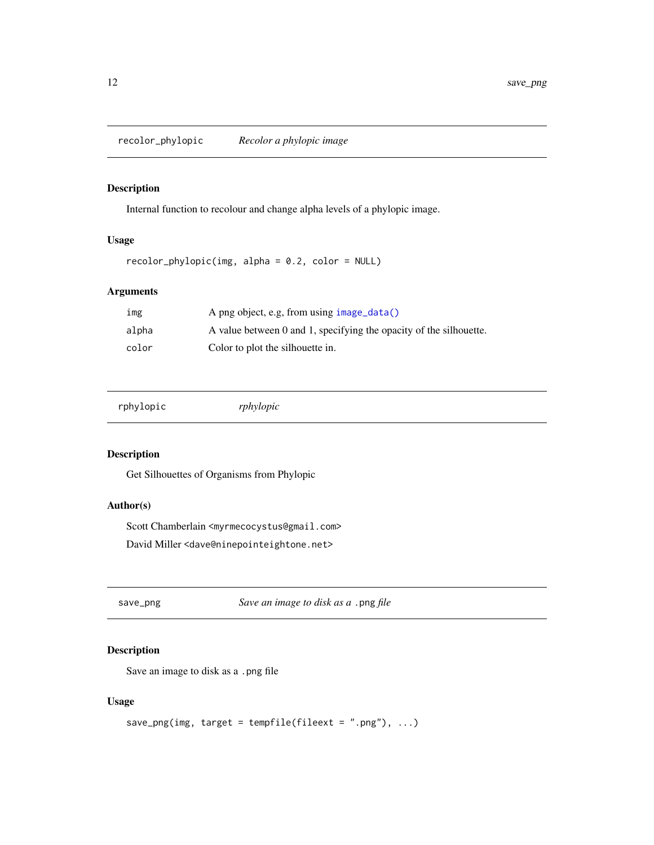<span id="page-11-0"></span>recolor\_phylopic *Recolor a phylopic image*

#### Description

Internal function to recolour and change alpha levels of a phylopic image.

#### Usage

```
recolor_phylopic(img, alpha = 0.2, color = NULL)
```
#### Arguments

| ımg   | A png object, e.g, from using image_data()                         |
|-------|--------------------------------------------------------------------|
| alpha | A value between 0 and 1, specifying the opacity of the silhouette. |
| color | Color to plot the silhouette in.                                   |

|  | rphylopic |  |
|--|-----------|--|
|  |           |  |

rphylopic *rphylopic*

#### Description

Get Silhouettes of Organisms from Phylopic

# Author(s)

Scott Chamberlain <myrmecocystus@gmail.com> David Miller <dave@ninepointeightone.net>

save\_png *Save an image to disk as a* .png *file*

#### Description

Save an image to disk as a .png file

#### Usage

```
save_png(img, target = tempfile(fileext = ".png"), \dots)
```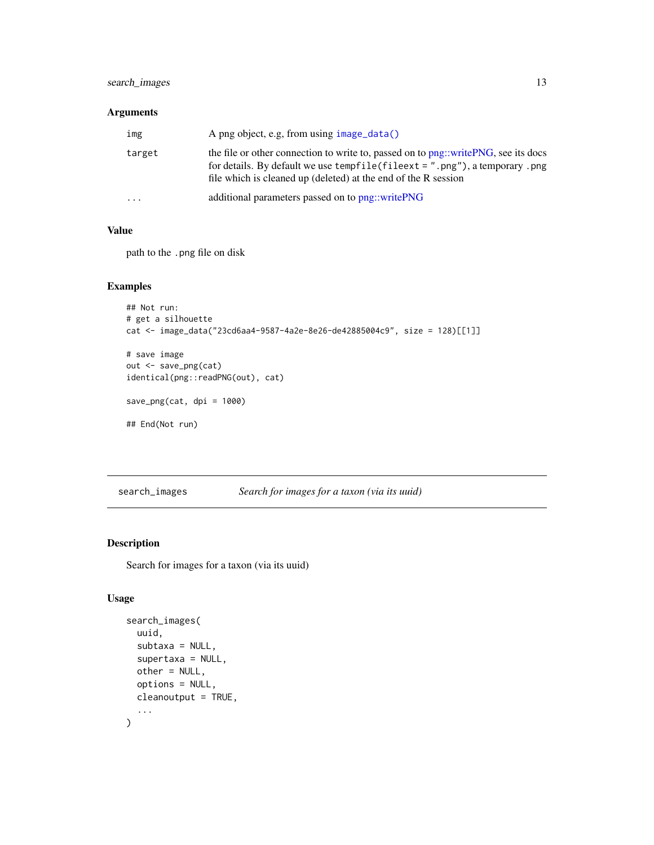#### <span id="page-12-0"></span>search\_images 13

# Arguments

| img       | A png object, e.g, from using $image_data()$                                                                                                                                                                                                    |
|-----------|-------------------------------------------------------------------------------------------------------------------------------------------------------------------------------------------------------------------------------------------------|
| target    | the file or other connection to write to, passed on to png::writePNG, see its docs<br>for details. By default we use tempfile $(\text{fileext} = ".png")$ , a temporary . png<br>file which is cleaned up (deleted) at the end of the R session |
| $\ddotsc$ | additional parameters passed on to png::writePNG                                                                                                                                                                                                |

#### Value

path to the .png file on disk

#### Examples

```
## Not run:
# get a silhouette
cat <- image_data("23cd6aa4-9587-4a2e-8e26-de42885004c9", size = 128)[[1]]
# save image
out <- save_png(cat)
identical(png::readPNG(out), cat)
save_png(cat, dpi = 1000)
```

```
## End(Not run)
```
search\_images *Search for images for a taxon (via its uuid)*

### Description

Search for images for a taxon (via its uuid)

#### Usage

```
search_images(
  uuid,
  subtaxa = NULL,
  supertaxa = NULL,
  other = NULL,
  options = NULL,
  cleanoutput = TRUE,
  ...
\mathcal{E}
```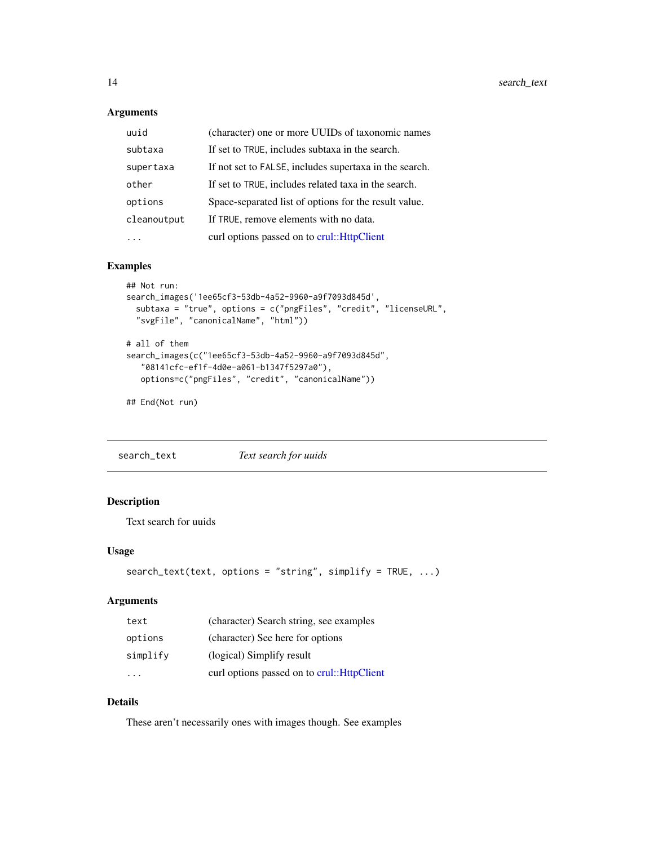#### <span id="page-13-0"></span>Arguments

| uuid        | (character) one or more UUIDs of taxonomic names       |
|-------------|--------------------------------------------------------|
| subtaxa     | If set to TRUE, includes subtaxa in the search.        |
| supertaxa   | If not set to FALSE, includes supertaxa in the search. |
| other       | If set to TRUE, includes related taxa in the search.   |
| options     | Space-separated list of options for the result value.  |
| cleanoutput | If TRUE, remove elements with no data.                 |
|             | curl options passed on to crul:: HttpClient            |

#### Examples

```
## Not run:
search_images('1ee65cf3-53db-4a52-9960-a9f7093d845d',
  subtaxa = "true", options = c("pngFiles", "credit", "licenseURL",
  "svgFile", "canonicalName", "html"))
# all of them
search_images(c("1ee65cf3-53db-4a52-9960-a9f7093d845d",
   "08141cfc-ef1f-4d0e-a061-b1347f5297a0"),
  options=c("pngFiles", "credit", "canonicalName"))
```
## End(Not run)

search\_text *Text search for uuids*

### Description

Text search for uuids

#### Usage

```
search_text(text, options = "string", simplify = TRUE, ...)
```
#### Arguments

| text     | (character) Search string, see examples     |
|----------|---------------------------------------------|
| options  | (character) See here for options            |
| simplify | (logical) Simplify result                   |
|          | curl options passed on to crul:: HttpClient |

### Details

These aren't necessarily ones with images though. See examples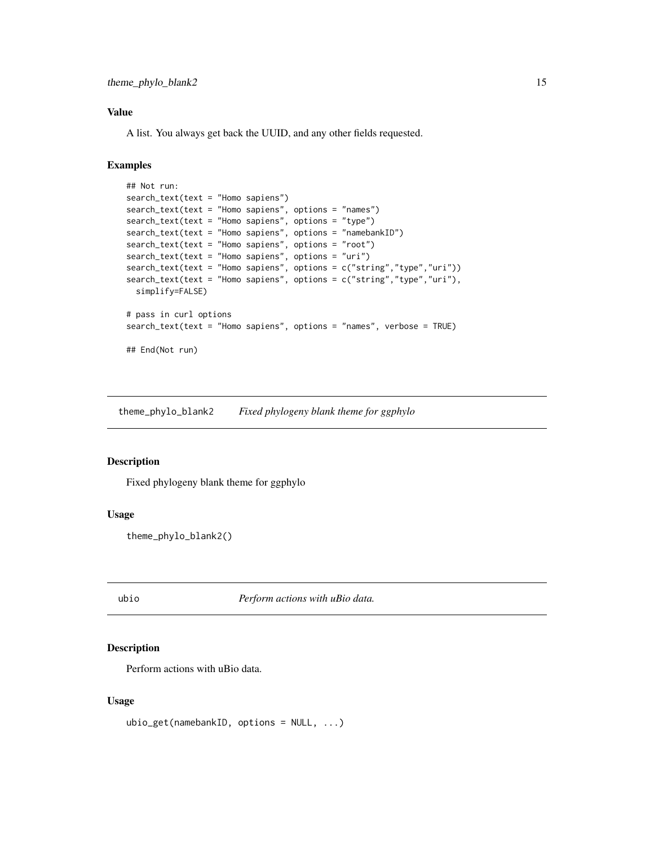#### <span id="page-14-0"></span>Value

A list. You always get back the UUID, and any other fields requested.

#### Examples

```
## Not run:
search_text(text = "Homo sapiens")
search_text(text = "Homo sapiens", options = "names")
search_text(text = "Homo sapiens", options = "type")
search_text(text = "Homo sapiens", options = "namebankID")
search_text(text = "Homo sapiens", options = "root")
search_text(text = "Homo sapiens", options = "uri")
search_text(text = "Homo sapiens", options = c("string","type","uri"))
search_text(text = "Homo sapiens", options = c("string","type","uri"),
 simplify=FALSE)
# pass in curl options
search_text(text = "Homo sapiens", options = "names", verbose = TRUE)
## End(Not run)
```
theme\_phylo\_blank2 *Fixed phylogeny blank theme for ggphylo*

#### Description

Fixed phylogeny blank theme for ggphylo

#### Usage

theme\_phylo\_blank2()

ubio *Perform actions with uBio data.*

#### Description

Perform actions with uBio data.

#### Usage

ubio\_get(namebankID, options = NULL, ...)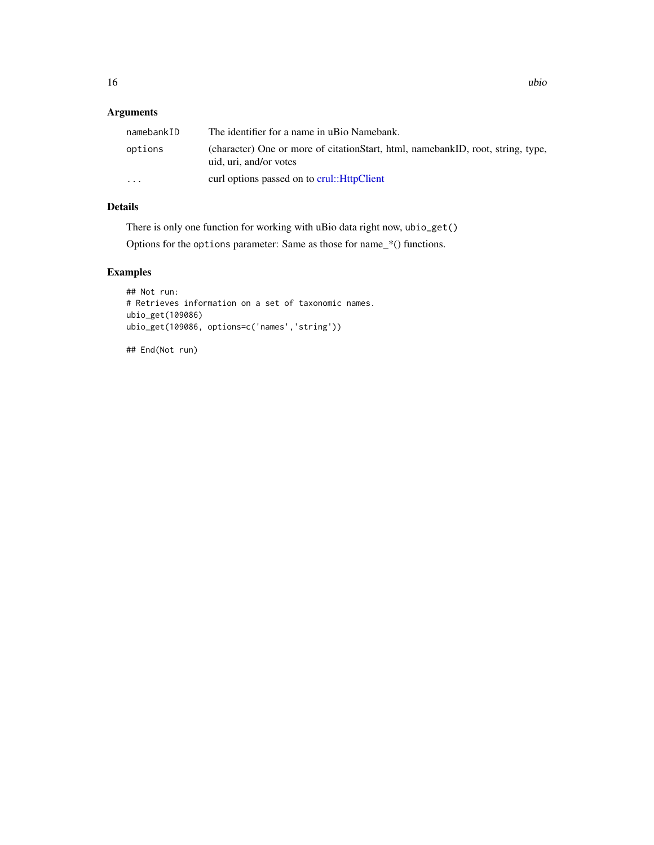### <span id="page-15-0"></span>Arguments

| namebankID | The identifier for a name in uBio Namebank.                                                               |
|------------|-----------------------------------------------------------------------------------------------------------|
| options    | (character) One or more of citationStart, html, namebankID, root, string, type,<br>uid, uri, and/or votes |
| $\cdots$   | curl options passed on to crul:: HttpClient                                                               |

# Details

There is only one function for working with uBio data right now, ubio\_get()

Options for the options parameter: Same as those for name\_\*() functions.

# Examples

```
## Not run:
# Retrieves information on a set of taxonomic names.
ubio_get(109086)
ubio_get(109086, options=c('names','string'))
```
## End(Not run)